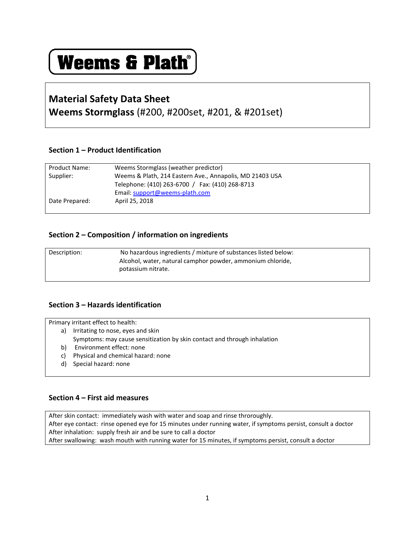# **Weems & Plath®**

# **Material Safety Data Sheet**

# **Weems Stormglass** (#200, #200set, #201, & #201set)

# **Section 1 – Product Identification**

| <b>Product Name:</b> | Weems Stormglass (weather predictor)                     |
|----------------------|----------------------------------------------------------|
| Supplier:            | Weems & Plath, 214 Eastern Ave., Annapolis, MD 21403 USA |
|                      | Telephone: (410) 263-6700 / Fax: (410) 268-8713          |
|                      | Email: support@weems-plath.com                           |
| Date Prepared:       | April 25, 2018                                           |
|                      |                                                          |

### **Section 2 – Composition / information on ingredients**

| Description: | No hazardous ingredients / mixture of substances listed below:<br>Alcohol, water, natural camphor powder, ammonium chloride, |
|--------------|------------------------------------------------------------------------------------------------------------------------------|
|              | potassium nitrate.                                                                                                           |

# **Section 3 – Hazards identification**

Primary irritant effect to health:

- a) Irritating to nose, eyes and skin Symptoms: may cause sensitization by skin contact and through inhalation
- b) Environment effect: none
- c) Physical and chemical hazard: none
- d) Special hazard: none

# **Section 4 – First aid measures**

After skin contact: immediately wash with water and soap and rinse throroughly. After eye contact: rinse opened eye for 15 minutes under running water, if symptoms persist, consult a doctor After inhalation: supply fresh air and be sure to call a doctor After swallowing: wash mouth with running water for 15 minutes, if symptoms persist, consult a doctor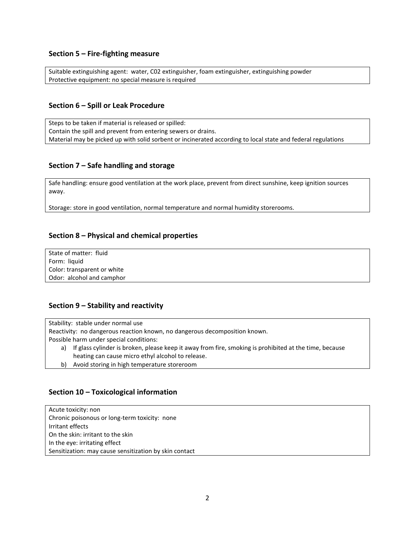#### **Section 5 – Fire-fighting measure**

Suitable extinguishing agent: water, C02 extinguisher, foam extinguisher, extinguishing powder Protective equipment: no special measure is required

#### **Section 6 – Spill or Leak Procedure**

Steps to be taken if material is released or spilled: Contain the spill and prevent from entering sewers or drains. Material may be picked up with solid sorbent or incinerated according to local state and federal regulations

#### **Section 7 – Safe handling and storage**

Safe handling: ensure good ventilation at the work place, prevent from direct sunshine, keep ignition sources away.

Storage: store in good ventilation, normal temperature and normal humidity storerooms.

#### **Section 8 – Physical and chemical properties**

State of matter: fluid Form: liquid Color: transparent or white Odor: alcohol and camphor

#### **Section 9 – Stability and reactivity**

Stability: stable under normal use

Reactivity: no dangerous reaction known, no dangerous decomposition known.

Possible harm under special conditions:

- a) If glass cylinder is broken, please keep it away from fire, smoking is prohibited at the time, because heating can cause micro ethyl alcohol to release.
- b) Avoid storing in high temperature storeroom

#### **Section 10 – Toxicological information**

Acute toxicity: non Chronic poisonous or long-term toxicity: none Irritant effects On the skin: irritant to the skin In the eye: irritating effect Sensitization: may cause sensitization by skin contact